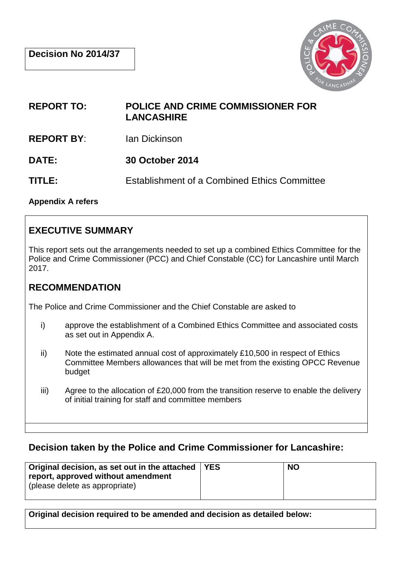

**REPORT TO: POLICE AND CRIME COMMISSIONER FOR LANCASHIRE**

**REPORT BY**: Ian Dickinson

**DATE: 30 October 2014**

**TITLE:** Establishment of a Combined Ethics Committee

**Appendix A refers**

## **EXECUTIVE SUMMARY**

This report sets out the arrangements needed to set up a combined Ethics Committee for the Police and Crime Commissioner (PCC) and Chief Constable (CC) for Lancashire until March 2017.

## **RECOMMENDATION**

The Police and Crime Commissioner and the Chief Constable are asked to

- i) approve the establishment of a Combined Ethics Committee and associated costs as set out in Appendix A.
- ii) Note the estimated annual cost of approximately £10,500 in respect of Ethics Committee Members allowances that will be met from the existing OPCC Revenue budget
- iii) Agree to the allocation of £20,000 from the transition reserve to enable the delivery of initial training for staff and committee members

### **Decision taken by the Police and Crime Commissioner for Lancashire:**

| Original decision, as set out in the attached   YES<br>report, approved without amendment<br>(please delete as appropriate) | <b>NO</b> |
|-----------------------------------------------------------------------------------------------------------------------------|-----------|
|                                                                                                                             |           |

**Original decision required to be amended and decision as detailed below:**